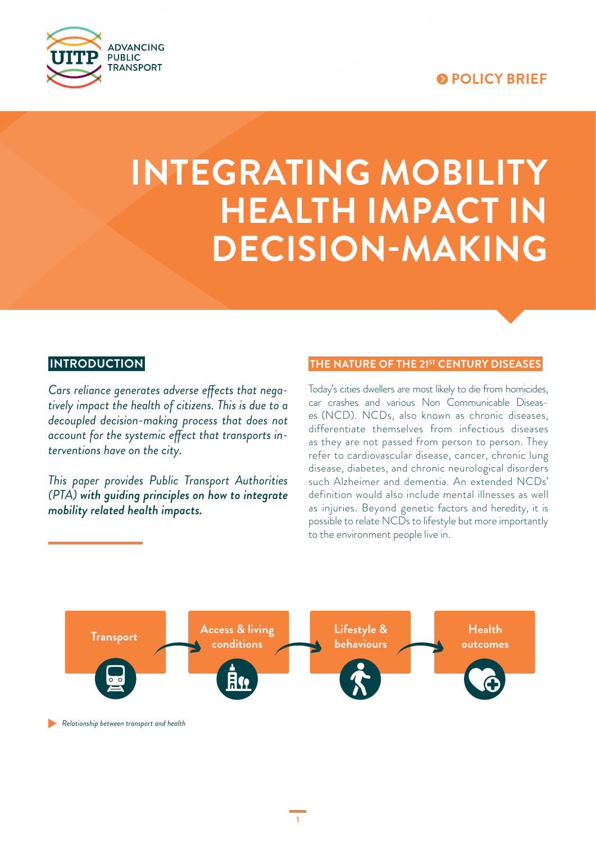## **POLICY BRIEF**



# **INTEGRATING MOBILITY HEALTH IMPACT IN DECISION-MAKING**

## **INTRODUCTION**

*Cars reliance generates adverse effects that negatively impact the health of citizens. This is due to a decoupled decision-making process that does not account for the systemic effect that transports interventions have on the city.* 

*This paper provides Public Transport Authorities (PTA) with guiding principles on how to integrate mobility related health impacts.* 

#### **THE NATURE OF THE 21ST CENTURY DISEASES**

Today's cities dwellers are most likely to die from homicides, car crashes and various Non Communicable Diseases (NCD). NCDs, also known as chronic diseases, differentiate themselves from infectious diseases as they are not passed from person to person. They refer to cardiovascular disease, cancer, chronic lung disease, diabetes, and chronic neurological disorders such Alzheimer and dementia. An extended NCDs' definition would also include mental illnesses as well as injuries. Beyond genetic factors and heredity, it is possible to relate NCDs to lifestyle but more importantly to the environment people live in.



**Relationship between transport and health** *Relationship between transport and health*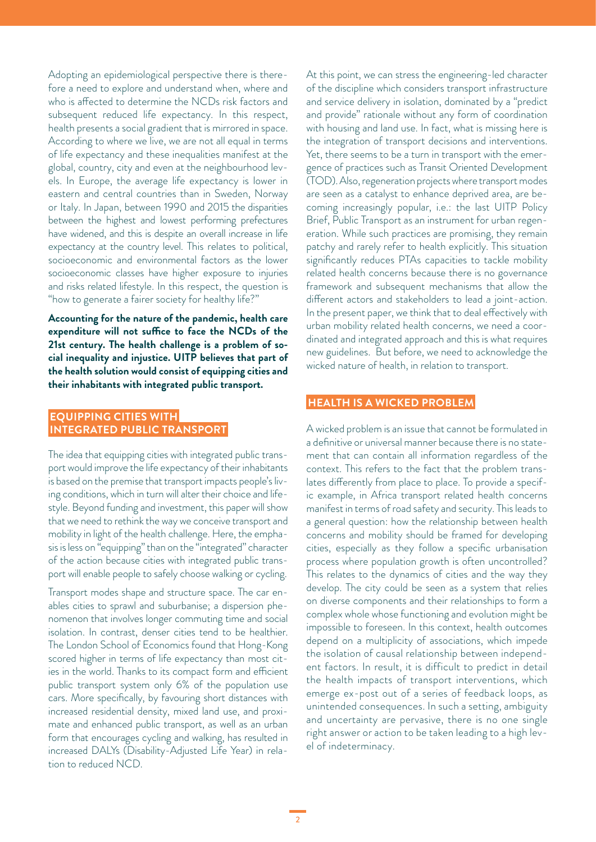Adopting an epidemiological perspective there is therefore a need to explore and understand when, where and who is affected to determine the NCDs risk factors and subsequent reduced life expectancy. In this respect, health presents a social gradient that is mirrored in space. According to where we live, we are not all equal in terms of life expectancy and these inequalities manifest at the global, country, city and even at the neighbourhood levels. In Europe, the average life expectancy is lower in eastern and central countries than in Sweden, Norway or Italy. In Japan, between 1990 and 2015 the disparities between the highest and lowest performing prefectures have widened, and this is despite an overall increase in life expectancy at the country level. This relates to political, socioeconomic and environmental factors as the lower socioeconomic classes have higher exposure to injuries and risks related lifestyle. In this respect, the question is "how to generate a fairer society for healthy life?"

**Accounting for the nature of the pandemic, health care expenditure will not suffice to face the NCDs of the 21st century. The health challenge is a problem of social inequality and injustice. UITP believes that part of the health solution would consist of equipping cities and their inhabitants with integrated public transport.**

#### **EQUIPPING CITIES WITH INTEGRATED PUBLIC TRANSPORT**

The idea that equipping cities with integrated public transport would improve the life expectancy of their inhabitants is based on the premise that transport impacts people's living conditions, which in turn will alter their choice and lifestyle. Beyond funding and investment, this paper will show that we need to rethink the way we conceive transport and mobility in light of the health challenge. Here, the emphasis is less on "equipping" than on the "integrated" character of the action because cities with integrated public transport will enable people to safely choose walking or cycling.

Transport modes shape and structure space. The car enables cities to sprawl and suburbanise; a dispersion phenomenon that involves longer commuting time and social isolation. In contrast, denser cities tend to be healthier. The London School of Economics found that Hong-Kong scored higher in terms of life expectancy than most cities in the world. Thanks to its compact form and efficient public transport system only 6% of the population use cars. More specifically, by favouring short distances with increased residential density, mixed land use, and proximate and enhanced public transport, as well as an urban form that encourages cycling and walking, has resulted in increased DALYs (Disability-Adjusted Life Year) in relation to reduced NCD.

At this point, we can stress the engineering-led character of the discipline which considers transport infrastructure and service delivery in isolation, dominated by a "predict and provide" rationale without any form of coordination with housing and land use. In fact, what is missing here is the integration of transport decisions and interventions. Yet, there seems to be a turn in transport with the emergence of practices such as Transit Oriented Development (TOD). Also, regeneration projects where transport modes are seen as a catalyst to enhance deprived area, are becoming increasingly popular, i.e.: the last UITP Policy Brief, Public Transport as an instrument for urban regeneration. While such practices are promising, they remain patchy and rarely refer to health explicitly. This situation significantly reduces PTAs capacities to tackle mobility related health concerns because there is no governance framework and subsequent mechanisms that allow the different actors and stakeholders to lead a joint-action. In the present paper, we think that to deal effectively with urban mobility related health concerns, we need a coordinated and integrated approach and this is what requires new guidelines. But before, we need to acknowledge the wicked nature of health, in relation to transport.

#### **HEALTH IS A WICKED PROBLEM**

A wicked problem is an issue that cannot be formulated in a definitive or universal manner because there is no statement that can contain all information regardless of the context. This refers to the fact that the problem translates differently from place to place. To provide a specific example, in Africa transport related health concerns manifest in terms of road safety and security. This leads to a general question: how the relationship between health concerns and mobility should be framed for developing cities, especially as they follow a specific urbanisation process where population growth is often uncontrolled? This relates to the dynamics of cities and the way they develop. The city could be seen as a system that relies on diverse components and their relationships to form a complex whole whose functioning and evolution might be impossible to foreseen. In this context, health outcomes depend on a multiplicity of associations, which impede the isolation of causal relationship between independent factors. In result, it is difficult to predict in detail the health impacts of transport interventions, which emerge ex-post out of a series of feedback loops, as unintended consequences. In such a setting, ambiguity and uncertainty are pervasive, there is no one single right answer or action to be taken leading to a high level of indeterminacy.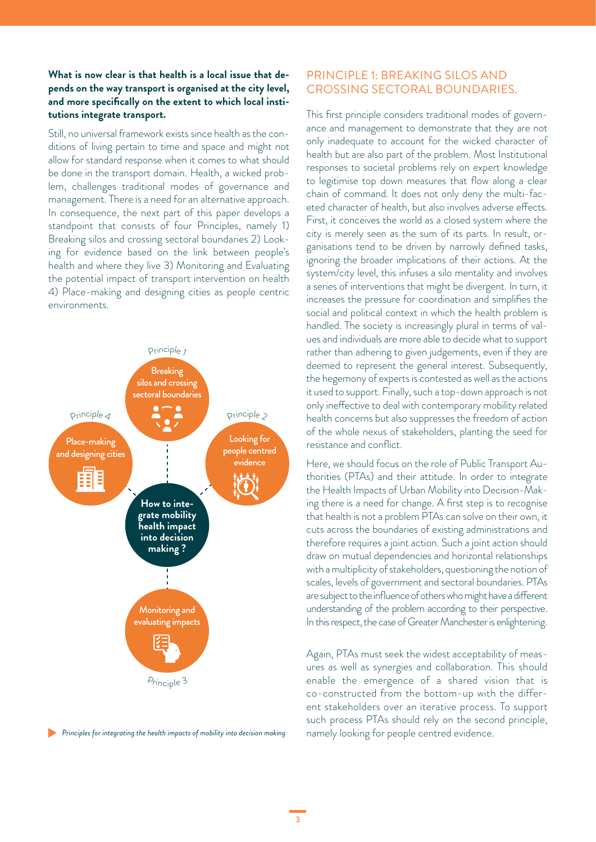#### **What is now clear is that health is a local issue that depends on the way transport is organised at the city level, and more specifically on the extent to which local institutions integrate transport.**

Still, no universal framework exists since health as the conditions of living pertain to time and space and might not allow for standard response when it comes to what should be done in the transport domain. Health, a wicked problem, challenges traditional modes of governance and management. There is a need for an alternative approach. In consequence, the next part of this paper develops a standpoint that consists of four Principles, namely 1) Breaking silos and crossing sectoral boundaries 2) Looking for evidence based on the link between people's health and where they live 3) Monitoring and Evaluating the potential impact of transport intervention on health 4) Place-making and designing cities as people centric environments.



**Principles for integrating the health impacts of mobility into decision making** 

#### PRINCIPLE 1: BREAKING SILOS AND CROSSING SECTORAL BOUNDARIES.

This first principle considers traditional modes of governance and management to demonstrate that they are not only inadequate to account for the wicked character of health but are also part of the problem. Most Institutional responses to societal problems rely on expert knowledge to legitimise top down measures that flow along a clear chain of command. It does not only deny the multi-faceted character of health, but also involves adverse effects. First, it conceives the world as a closed system where the city is merely seen as the sum of its parts. In result, organisations tend to be driven by narrowly defined tasks, ignoring the broader implications of their actions. At the system/city level, this infuses a silo mentality and involves a series of interventions that might be divergent. In turn, it increases the pressure for coordination and simplifies the social and political context in which the health problem is handled. The society is increasingly plural in terms of values and individuals are more able to decide what to support rather than adhering to given judgements, even if they are deemed to represent the general interest. Subsequently, the hegemony of experts is contested as well as the actions it used to support. Finally, such a top-down approach is not only ineffective to deal with contemporary mobility related health concerns but also suppresses the freedom of action of the whole nexus of stakeholders, planting the seed for resistance and conflict.

Here, we should focus on the role of Public Transport Authorities (PTAs) and their attitude. In order to integrate the Health Impacts of Urban Mobility into Decision-Making there is a need for change. A first step is to recognise that health is not a problem PTAs can solve on their own, it cuts across the boundaries of existing administrations and therefore requires a joint action. Such a joint action should draw on mutual dependencies and horizontal relationships with a multiplicity of stakeholders, questioning the notion of scales, levels of government and sectoral boundaries. PTAs are subject to the influence of others who might have a different understanding of the problem according to their perspective. In this respect, the case of Greater Manchester is enlightening.

Again, PTAs must seek the widest acceptability of measures as well as synergies and collaboration. This should enable the emergence of a shared vision that is co-constructed from the bottom-up with the different stakeholders over an iterative process. To support such process PTAs should rely on the second principle, namely looking for people centred evidence.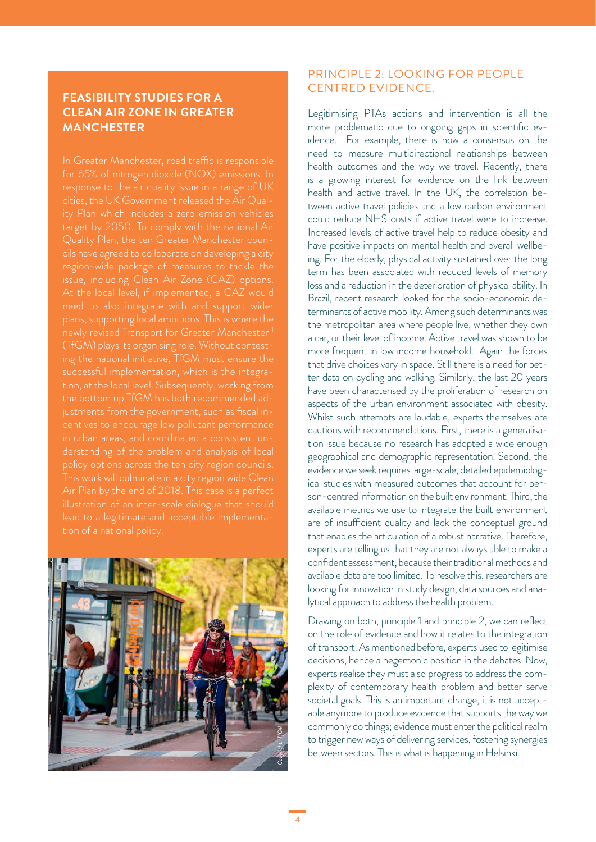## **FEASIBILITY STUDIES FOR A CLEAN AIR ZONE IN GREATER MANCHESTER**

for 65% of nitrogen dioxide (NOX) emissions. In response to the air quality issue in a range of UK target by 2050. To comply with the national Air issue, including Clean Air Zone (CAZ) options. successful implementation, which is the integra-This work will culminate in a city region wide Clean Air Plan by the end of 2018. This case is a perfect



## PRINCIPLE 2: LOOKING FOR PEOPLE CENTRED EVIDENCE.

Legitimising PTAs actions and intervention is all the more problematic due to ongoing gaps in scientific evidence. For example, there is now a consensus on the need to measure multidirectional relationships between health outcomes and the way we travel. Recently, there is a growing interest for evidence on the link between health and active travel. In the UK, the correlation between active travel policies and a low carbon environment could reduce NHS costs if active travel were to increase. Increased levels of active travel help to reduce obesity and have positive impacts on mental health and overall wellbeing. For the elderly, physical activity sustained over the long term has been associated with reduced levels of memory loss and a reduction in the deterioration of physical ability. In Brazil, recent research looked for the socio-economic determinants of active mobility. Among such determinants was the metropolitan area where people live, whether they own a car, or their level of income. Active travel was shown to be more frequent in low income household. Again the forces that drive choices vary in space. Still there is a need for better data on cycling and walking. Similarly, the last 20 years have been characterised by the proliferation of research on aspects of the urban environment associated with obesity. Whilst such attempts are laudable, experts themselves are cautious with recommendations. First, there is a generalisation issue because no research has adopted a wide enough geographical and demographic representation. Second, the evidence we seek requires large-scale, detailed epidemiological studies with measured outcomes that account for person-centred information on the built environment. Third, the available metrics we use to integrate the built environment are of insufficient quality and lack the conceptual ground that enables the articulation of a robust narrative. Therefore, experts are telling us that they are not always able to make a confident assessment, because their traditional methods and available data are too limited. To resolve this, researchers are looking for innovation in study design, data sources and analytical approach to address the health problem.

Drawing on both, principle 1 and principle 2, we can reflect on the role of evidence and how it relates to the integration of transport. As mentioned before, experts used to legitimise decisions, hence a hegemonic position in the debates. Now, experts realise they must also progress to address the complexity of contemporary health problem and better serve societal goals. This is an important change, it is not acceptable anymore to produce evidence that supports the way we commonly do things; evidence must enter the political realm to trigger new ways of delivering services, fostering synergies between sectors. This is what is happening in Helsinki. *Copyright: CaF*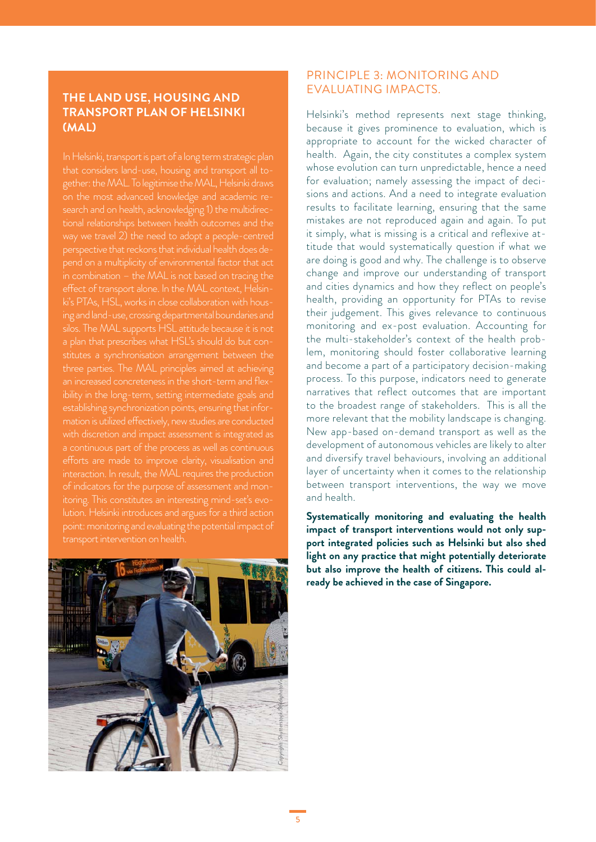## **THE LAND USE, HOUSING AND TRANSPORT PLAN OF HELSINKI (MAL)**

that considers land-use, housing and transport all together: the MAL. To legitimise the MAL, Helsinki draws on the most advanced knowledge and academic research and on health, acknowledging 1) the multidirecpend on a multiplicity of environmental factor that act ibility in the long-term, setting intermediate goals and with discretion and impact assessment is integrated as interaction. In result, the MAL requires the production itoring. This constitutes an interesting mind-set's evolution. Helsinki introduces and argues for a third action



## PRINCIPLE 3: MONITORING AND EVALUATING IMPACTS.

Helsinki's method represents next stage thinking, because it gives prominence to evaluation, which is appropriate to account for the wicked character of health. Again, the city constitutes a complex system whose evolution can turn unpredictable, hence a need for evaluation; namely assessing the impact of decisions and actions. And a need to integrate evaluation results to facilitate learning, ensuring that the same mistakes are not reproduced again and again. To put it simply, what is missing is a critical and reflexive attitude that would systematically question if what we are doing is good and why. The challenge is to observe change and improve our understanding of transport and cities dynamics and how they reflect on people's health, providing an opportunity for PTAs to revise their judgement. This gives relevance to continuous monitoring and ex-post evaluation. Accounting for the multi-stakeholder's context of the health problem, monitoring should foster collaborative learning and become a part of a participatory decision-making process. To this purpose, indicators need to generate narratives that reflect outcomes that are important to the broadest range of stakeholders. This is all the more relevant that the mobility landscape is changing. New app-based on-demand transport as well as the development of autonomous vehicles are likely to alter and diversify travel behaviours, involving an additional layer of uncertainty when it comes to the relationship between transport interventions, the way we move and health.

**Systematically monitoring and evaluating the health impact of transport interventions would not only support integrated policies such as Helsinki but also shed light on any practice that might potentially deteriorate but also improve the health of citizens. This could already be achieved in the case of Singapore.**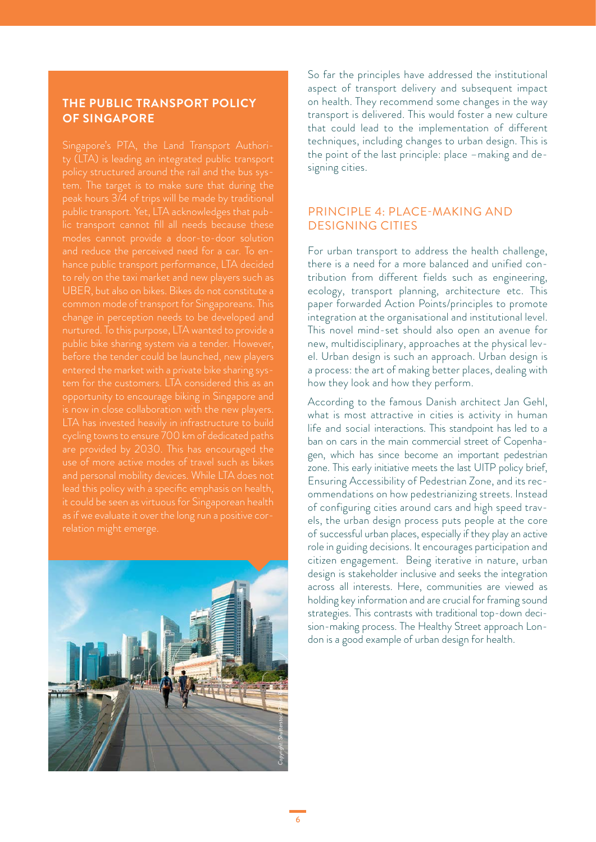#### **THE PUBLIC TRANSPORT POLICY OF SINGAPORE**

Singapore's PTA, the Land Transport Authority (LTA) is leading an integrated public transport tem. The target is to make sure that during the UBER, but also on bikes. Bikes do not constitute a common mode of transport for Singaporeans. This opportunity to encourage biking in Singapore and LTA has invested heavily in infrastructure to build it could be seen as virtuous for Singaporean health



So far the principles have addressed the institutional aspect of transport delivery and subsequent impact on health. They recommend some changes in the way transport is delivered. This would foster a new culture that could lead to the implementation of different techniques, including changes to urban design. This is the point of the last principle: place –making and designing cities.

## PRINCIPLE 4: PLACE-MAKING AND DESIGNING CITIES

For urban transport to address the health challenge, there is a need for a more balanced and unified contribution from different fields such as engineering, ecology, transport planning, architecture etc. This paper forwarded Action Points/principles to promote integration at the organisational and institutional level. This novel mind-set should also open an avenue for new, multidisciplinary, approaches at the physical level. Urban design is such an approach. Urban design is a process: the art of making better places, dealing with how they look and how they perform.

According to the famous Danish architect Jan Gehl, what is most attractive in cities is activity in human life and social interactions. This standpoint has led to a ban on cars in the main commercial street of Copenhagen, which has since become an important pedestrian zone. This early initiative meets the last UITP policy brief, Ensuring Accessibility of Pedestrian Zone, and its recommendations on how pedestrianizing streets. Instead of configuring cities around cars and high speed travels, the urban design process puts people at the core of successful urban places, especially if they play an active role in guiding decisions. It encourages participation and citizen engagement. Being iterative in nature, urban design is stakeholder inclusive and seeks the integration across all interests. Here, communities are viewed as holding key information and are crucial for framing sound strategies. This contrasts with traditional top-down decision-making process. The Healthy Street approach London is a good example of urban design for health.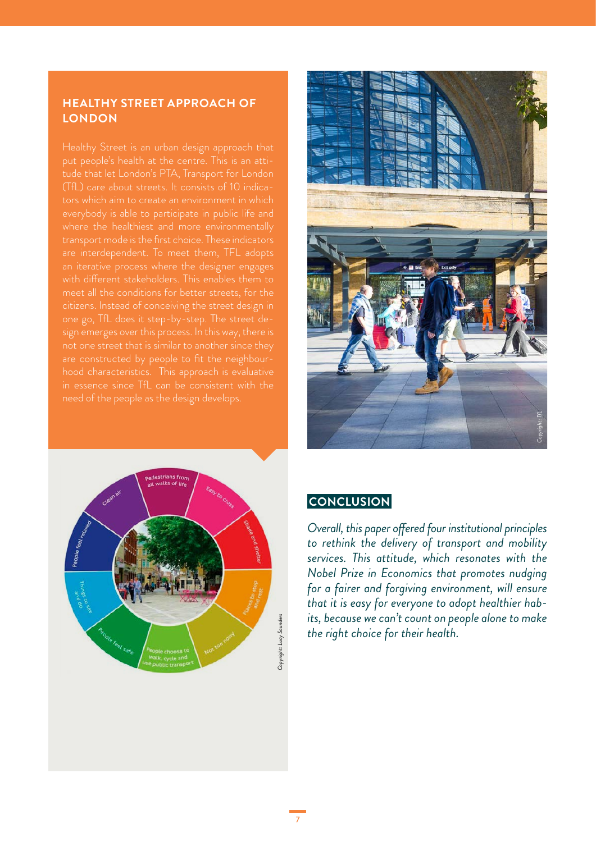## **HEALTHY STREET APPROACH OF LONDON**

(TfL) care about streets. It consists of 10 indicawhere the healthiest and more environmentally an iterative process where the designer engages meet all the conditions for better streets, for the citizens. Instead of conceiving the street design in





## **CONCLUSION**

*Overall, this paper offered four institutional principles to rethink the delivery of transport and mobility services. This attitude, which resonates with the Nobel Prize in Economics that promotes nudging for a fairer and forgiving environment, will ensure that it is easy for everyone to adopt healthier habits, because we can't count on people alone to make the right choice for their health.*